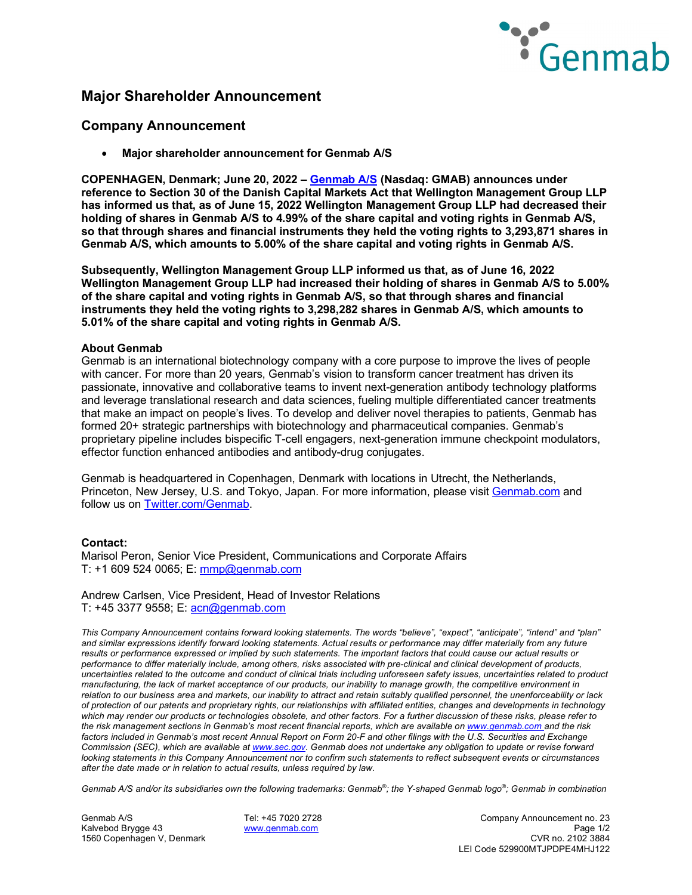

## **Major Shareholder Announcement**

### **Company Announcement**

• **Major shareholder announcement for Genmab A/S**

**COPENHAGEN, Denmark; June 20, 2022 – [Genmab A/S](https://www.genmab.com/) (Nasdaq: GMAB) announces under reference to Section 30 of the Danish Capital Markets Act that Wellington Management Group LLP has informed us that, as of June 15, 2022 Wellington Management Group LLP had decreased their holding of shares in Genmab A/S to 4.99% of the share capital and voting rights in Genmab A/S, so that through shares and financial instruments they held the voting rights to 3,293,871 shares in Genmab A/S, which amounts to 5.00% of the share capital and voting rights in Genmab A/S.** 

**Subsequently, Wellington Management Group LLP informed us that, as of June 16, 2022 Wellington Management Group LLP had increased their holding of shares in Genmab A/S to 5.00% of the share capital and voting rights in Genmab A/S, so that through shares and financial instruments they held the voting rights to 3,298,282 shares in Genmab A/S, which amounts to 5.01% of the share capital and voting rights in Genmab A/S.**

#### **About Genmab**

Genmab is an international biotechnology company with a core purpose to improve the lives of people with cancer. For more than 20 years, Genmab's vision to transform cancer treatment has driven its passionate, innovative and collaborative teams to invent next-generation antibody technology platforms and leverage translational research and data sciences, fueling multiple differentiated cancer treatments that make an impact on people's lives. To develop and deliver novel therapies to patients, Genmab has formed 20+ strategic partnerships with biotechnology and pharmaceutical companies. Genmab's proprietary pipeline includes bispecific T-cell engagers, next-generation immune checkpoint modulators, effector function enhanced antibodies and antibody-drug conjugates.

Genmab is headquartered in Copenhagen, Denmark with locations in Utrecht, the Netherlands, Princeton, New Jersey, U.S. and Tokyo, Japan. For more information, please visit [Genmab.com](https://www.genmab.com/) and follow us on [Twitter.com/Genmab.](https://twitter.com/Genmab)

#### **Contact:**

Marisol Peron, Senior Vice President, Communications and Corporate Affairs T: +1 609 524 0065; E: [mmp@genmab.com](mailto:mmp@genmab.com)

Andrew Carlsen, Vice President, Head of Investor Relations T: +45 3377 9558; E: [acn@genmab.com](mailto:acn@genmab.com)

*This Company Announcement contains forward looking statements. The words "believe", "expect", "anticipate", "intend" and "plan" and similar expressions identify forward looking statements. Actual results or performance may differ materially from any future*  results or performance expressed or implied by such statements. The important factors that could cause our actual results or *performance to differ materially include, among others, risks associated with pre-clinical and clinical development of products, uncertainties related to the outcome and conduct of clinical trials including unforeseen safety issues, uncertainties related to product manufacturing, the lack of market acceptance of our products, our inability to manage growth, the competitive environment in relation to our business area and markets, our inability to attract and retain suitably qualified personnel, the unenforceability or lack of protection of our patents and proprietary rights, our relationships with affiliated entities, changes and developments in technology which may render our products or technologies obsolete, and other factors. For a further discussion of these risks, please refer to the risk management sections in Genmab's most recent financial reports, which are available on [www.genmab.com](http://www.genmab.com/) and the risk factors included in Genmab's most recent Annual Report on Form 20-F and other filings with the U.S. Securities and Exchange Commission (SEC), which are available a[t www.sec.gov.](https://www.sec.gov/edgar.shtml) Genmab does not undertake any obligation to update or revise forward looking statements in this Company Announcement nor to confirm such statements to reflect subsequent events or circumstances after the date made or in relation to actual results, unless required by law.* 

*Genmab A/S and/or its subsidiaries own the following trademarks: Genmab®; the Y-shaped Genmab logo®; Genmab in combination* 

1560 Copenhagen V, Denmark

Genmab A/S Tel: +45 7020 2728 Company Announcement no. 23 Kalvebod Brygge 43 [www.genmab.com](http://www.genmab.com/) Page 1/2 LEI Code 529900MTJPDPE4MHJ122